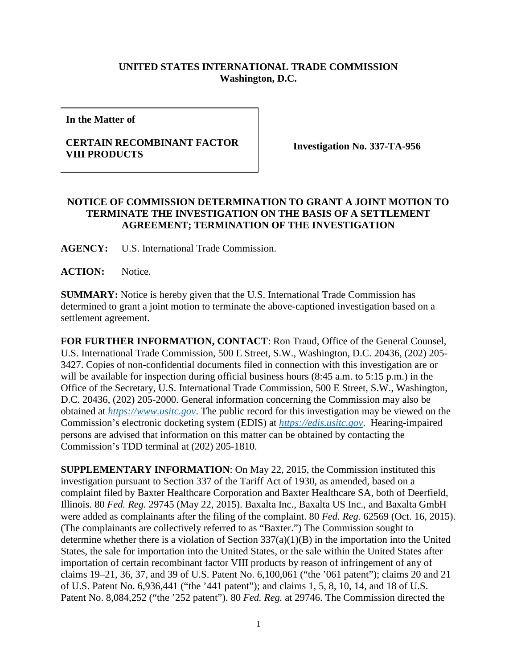## **UNITED STATES INTERNATIONAL TRADE COMMISSION Washington, D.C.**

**In the Matter of**

## **CERTAIN RECOMBINANT FACTOR VIII PRODUCTS Investigation No. 337-TA-956**

## **NOTICE OF COMMISSION DETERMINATION TO GRANT A JOINT MOTION TO TERMINATE THE INVESTIGATION ON THE BASIS OF A SETTLEMENT AGREEMENT; TERMINATION OF THE INVESTIGATION**

**AGENCY:** U.S. International Trade Commission.

ACTION: Notice.

**SUMMARY:** Notice is hereby given that the U.S. International Trade Commission has determined to grant a joint motion to terminate the above-captioned investigation based on a settlement agreement.

**FOR FURTHER INFORMATION, CONTACT**: Ron Traud, Office of the General Counsel, U.S. International Trade Commission, 500 E Street, S.W., Washington, D.C. 20436, (202) 205- 3427. Copies of non-confidential documents filed in connection with this investigation are or will be available for inspection during official business hours (8:45 a.m. to 5:15 p.m.) in the Office of the Secretary, U.S. International Trade Commission, 500 E Street, S.W., Washington, D.C. 20436, (202) 205-2000. General information concerning the Commission may also be obtained at *[https://www.usitc.gov](https://www.usitc.gov/)*. The public record for this investigation may be viewed on the Commission's electronic docketing system (EDIS) at *[https://edis.usitc.gov](https://edis.usitc.gov/)*. Hearing-impaired persons are advised that information on this matter can be obtained by contacting the Commission's TDD terminal at (202) 205-1810.

**SUPPLEMENTARY INFORMATION**: On May 22, 2015, the Commission instituted this investigation pursuant to Section 337 of the Tariff Act of 1930, as amended, based on a complaint filed by Baxter Healthcare Corporation and Baxter Healthcare SA, both of Deerfield, Illinois. 80 *Fed. Reg.* 29745 (May 22, 2015). Baxalta Inc., Baxalta US Inc., and Baxalta GmbH were added as complainants after the filing of the complaint. 80 *Fed. Reg.* 62569 (Oct. 16, 2015). (The complainants are collectively referred to as "Baxter.") The Commission sought to determine whether there is a violation of Section 337(a)(1)(B) in the importation into the United States, the sale for importation into the United States, or the sale within the United States after importation of certain recombinant factor VIII products by reason of infringement of any of claims 19–21, 36, 37, and 39 of U.S. Patent No. 6,100,061 ("the '061 patent"); claims 20 and 21 of U.S. Patent No. 6,936,441 ("the '441 patent"); and claims 1, 5, 8, 10, 14, and 18 of U.S. Patent No. 8,084,252 ("the '252 patent"). 80 *Fed. Reg.* at 29746. The Commission directed the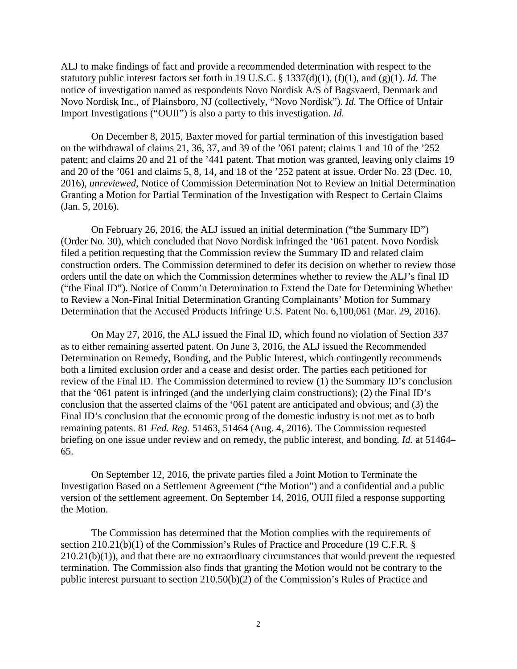ALJ to make findings of fact and provide a recommended determination with respect to the statutory public interest factors set forth in 19 U.S.C. § 1337(d)(1), (f)(1), and (g)(1). *Id.* The notice of investigation named as respondents Novo Nordisk A/S of Bagsvaerd, Denmark and Novo Nordisk Inc., of Plainsboro, NJ (collectively, "Novo Nordisk"). *Id.* The Office of Unfair Import Investigations ("OUII") is also a party to this investigation. *Id.*

On December 8, 2015, Baxter moved for partial termination of this investigation based on the withdrawal of claims 21, 36, 37, and 39 of the '061 patent; claims 1 and 10 of the '252 patent; and claims 20 and 21 of the '441 patent. That motion was granted, leaving only claims 19 and 20 of the '061 and claims 5, 8, 14, and 18 of the '252 patent at issue. Order No. 23 (Dec. 10, 2016), *unreviewed*, Notice of Commission Determination Not to Review an Initial Determination Granting a Motion for Partial Termination of the Investigation with Respect to Certain Claims (Jan. 5, 2016).

On February 26, 2016, the ALJ issued an initial determination ("the Summary ID") (Order No. 30), which concluded that Novo Nordisk infringed the '061 patent. Novo Nordisk filed a petition requesting that the Commission review the Summary ID and related claim construction orders. The Commission determined to defer its decision on whether to review those orders until the date on which the Commission determines whether to review the ALJ's final ID ("the Final ID"). Notice of Comm'n Determination to Extend the Date for Determining Whether to Review a Non-Final Initial Determination Granting Complainants' Motion for Summary Determination that the Accused Products Infringe U.S. Patent No. 6,100,061 (Mar. 29, 2016).

On May 27, 2016, the ALJ issued the Final ID, which found no violation of Section 337 as to either remaining asserted patent. On June 3, 2016, the ALJ issued the Recommended Determination on Remedy, Bonding, and the Public Interest, which contingently recommends both a limited exclusion order and a cease and desist order. The parties each petitioned for review of the Final ID. The Commission determined to review (1) the Summary ID's conclusion that the '061 patent is infringed (and the underlying claim constructions); (2) the Final ID's conclusion that the asserted claims of the '061 patent are anticipated and obvious; and (3) the Final ID's conclusion that the economic prong of the domestic industry is not met as to both remaining patents. 81 *Fed. Reg.* 51463, 51464 (Aug. 4, 2016). The Commission requested briefing on one issue under review and on remedy, the public interest, and bonding. *Id.* at 51464– 65.

On September 12, 2016, the private parties filed a Joint Motion to Terminate the Investigation Based on a Settlement Agreement ("the Motion") and a confidential and a public version of the settlement agreement. On September 14, 2016, OUII filed a response supporting the Motion.

The Commission has determined that the Motion complies with the requirements of section 210.21(b)(1) of the Commission's Rules of Practice and Procedure (19 C.F.R. § 210.21(b)(1)), and that there are no extraordinary circumstances that would prevent the requested termination. The Commission also finds that granting the Motion would not be contrary to the public interest pursuant to section 210.50(b)(2) of the Commission's Rules of Practice and